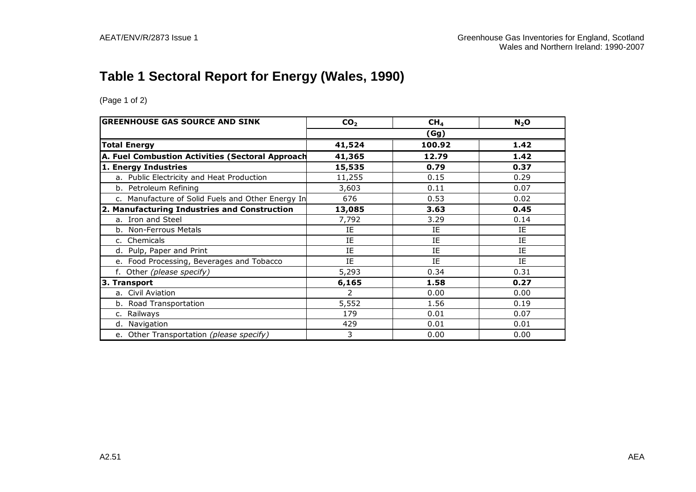# **Table 1 Sectoral Report for Energy (Wales, 1990)**

| <b>GREENHOUSE GAS SOURCE AND SINK</b>             | CO <sub>2</sub> | CH <sub>4</sub> | $N_2$ O |  |  |  |
|---------------------------------------------------|-----------------|-----------------|---------|--|--|--|
|                                                   | (Gg)            |                 |         |  |  |  |
| <b>Total Energy</b>                               | 41,524          | 100.92          | 1.42    |  |  |  |
| A. Fuel Combustion Activities (Sectoral Approach  | 41,365          | 12.79           | 1.42    |  |  |  |
| 1. Energy Industries                              | 15,535          | 0.79            | 0.37    |  |  |  |
| a. Public Electricity and Heat Production         | 11,255          | 0.15            | 0.29    |  |  |  |
| b. Petroleum Refining                             | 3,603           | 0.11            | 0.07    |  |  |  |
| c. Manufacture of Solid Fuels and Other Energy In | 676             | 0.53            | 0.02    |  |  |  |
| 2. Manufacturing Industries and Construction      | 13,085          | 3.63            | 0.45    |  |  |  |
| a. Iron and Steel                                 | 7,792           | 3.29            | 0.14    |  |  |  |
| b. Non-Ferrous Metals                             | IE              | IE              | IE      |  |  |  |
| c. Chemicals                                      | IE              | IE              | IE      |  |  |  |
| d. Pulp, Paper and Print                          | IE              | IE              | IE      |  |  |  |
| e. Food Processing, Beverages and Tobacco         | ΙE              | ΙE              | ΙE      |  |  |  |
| f. Other (please specify)                         | 5,293           | 0.34            | 0.31    |  |  |  |
| 3. Transport                                      | 6,165           | 1.58            | 0.27    |  |  |  |
| a. Civil Aviation                                 | 2               | 0.00            | 0.00    |  |  |  |
| b. Road Transportation                            | 5,552           | 1.56            | 0.19    |  |  |  |
| Railways<br>c.                                    | 179             | 0.01            | 0.07    |  |  |  |
| d. Navigation                                     | 429             | 0.01            | 0.01    |  |  |  |
| e. Other Transportation (please specify)          | 3               | 0.00            | 0.00    |  |  |  |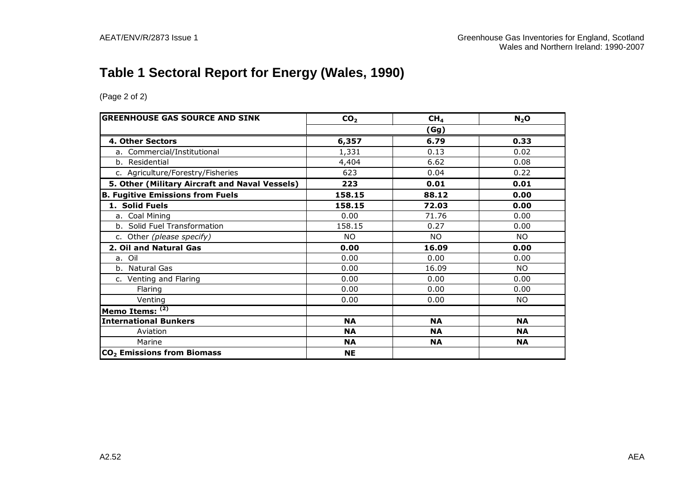# **Table 1 Sectoral Report for Energy (Wales, 1990)**

| <b>GREENHOUSE GAS SOURCE AND SINK</b>          | CO <sub>2</sub> | CH <sub>4</sub> | N <sub>2</sub> O |  |  |
|------------------------------------------------|-----------------|-----------------|------------------|--|--|
|                                                |                 | (Gg)            |                  |  |  |
| 4. Other Sectors                               | 6,357           | 6.79            | 0.33             |  |  |
| a. Commercial/Institutional                    | 1,331           | 0.13            | 0.02             |  |  |
| b. Residential                                 | 4,404           | 6.62            | 0.08             |  |  |
| c. Agriculture/Forestry/Fisheries              | 623             | 0.04            | 0.22             |  |  |
| 5. Other (Military Aircraft and Naval Vessels) | 223             | 0.01            | 0.01             |  |  |
| <b>B. Fugitive Emissions from Fuels</b>        | 158.15          | 88.12           | 0.00             |  |  |
| 1. Solid Fuels                                 | 158.15          | 72.03           | 0.00             |  |  |
| a. Coal Mining                                 | 0.00            | 71.76           | 0.00             |  |  |
| b. Solid Fuel Transformation                   | 158.15          | 0.27            | 0.00             |  |  |
| c. Other (please specify)                      | NO.             | <b>NO</b>       | <b>NO</b>        |  |  |
| 2. Oil and Natural Gas                         | 0.00            | 16.09           | 0.00             |  |  |
| a. Oil                                         | 0.00            | 0.00            | 0.00             |  |  |
| b. Natural Gas                                 | 0.00            | 16.09           | NO.              |  |  |
| c. Venting and Flaring                         | 0.00            | 0.00            | 0.00             |  |  |
| Flaring                                        | 0.00            | 0.00            | 0.00             |  |  |
| Venting                                        | 0.00            | 0.00            | <b>NO</b>        |  |  |
| Memo Items: (2)                                |                 |                 |                  |  |  |
| <b>International Bunkers</b>                   | <b>NA</b>       | <b>NA</b>       | <b>NA</b>        |  |  |
| Aviation                                       | <b>NA</b>       | <b>NA</b>       | <b>NA</b>        |  |  |
| Marine                                         | <b>NA</b>       | <b>NA</b>       | <b>NA</b>        |  |  |
| CO <sub>2</sub> Emissions from Biomass         | <b>NE</b>       |                 |                  |  |  |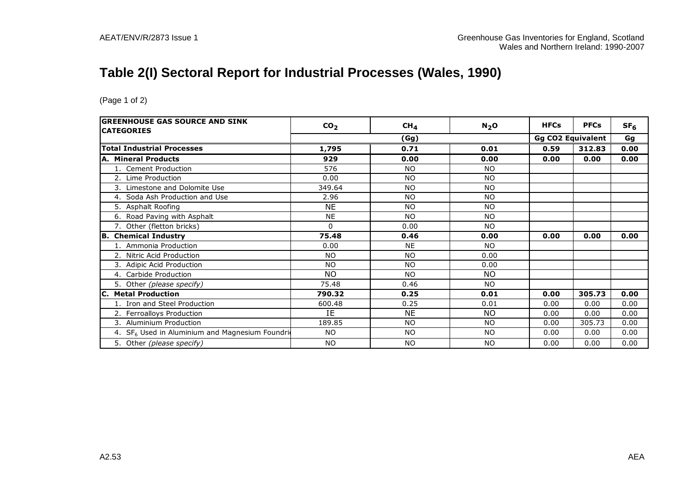## **Table 2(I) Sectoral Report for Industrial Processes (Wales, 1990)**

| <b>GREENHOUSE GAS SOURCE AND SINK</b><br><b>CATEGORIES</b>  | CO <sub>2</sub> | CH <sub>4</sub> | N <sub>2</sub> O | <b>HFCs</b>              | <b>PFCs</b> | SF <sub>6</sub> |
|-------------------------------------------------------------|-----------------|-----------------|------------------|--------------------------|-------------|-----------------|
|                                                             |                 | (Gg)            |                  | <b>Gg CO2 Equivalent</b> | Gg          |                 |
| <b>Total Industrial Processes</b>                           | 1,795           | 0.71            | 0.01             | 0.59                     | 312.83      | 0.00            |
| <b>A. Mineral Products</b>                                  | 929             | 0.00            | 0.00             | 0.00                     | 0.00        | 0.00            |
| 1. Cement Production                                        | 576             | <b>NO</b>       | <b>NO</b>        |                          |             |                 |
| 2. Lime Production                                          | 0.00            | <b>NO</b>       | <b>NO</b>        |                          |             |                 |
| Limestone and Dolomite Use<br>3.                            | 349.64          | <b>NO</b>       | <b>NO</b>        |                          |             |                 |
| 4. Soda Ash Production and Use                              | 2.96            | <b>NO</b>       | <b>NO</b>        |                          |             |                 |
| 5. Asphalt Roofing                                          | <b>NE</b>       | <b>NO</b>       | <b>NO</b>        |                          |             |                 |
| 6. Road Paving with Asphalt                                 | <b>NE</b>       | <b>NO</b>       | <b>NO</b>        |                          |             |                 |
| 7. Other (fletton bricks)                                   | 0               | 0.00            | <b>NO</b>        |                          |             |                 |
| <b>B.</b> Chemical Industry                                 | 75.48           | 0.46            | 0.00             | 0.00                     | 0.00        | 0.00            |
| Ammonia Production                                          | 0.00            | <b>NE</b>       | <b>NO</b>        |                          |             |                 |
| 2. Nitric Acid Production                                   | <b>NO</b>       | <b>NO</b>       | 0.00             |                          |             |                 |
| Adipic Acid Production<br>3.                                | <b>NO</b>       | <b>NO</b>       | 0.00             |                          |             |                 |
| 4. Carbide Production                                       | <b>NO</b>       | <b>NO</b>       | <b>NO</b>        |                          |             |                 |
| 5. Other (please specify)                                   | 75.48           | 0.46            | <b>NO</b>        |                          |             |                 |
| <b>C. Metal Production</b>                                  | 790.32          | 0.25            | 0.01             | 0.00                     | 305.73      | 0.00            |
| 1. Iron and Steel Production                                | 600.48          | 0.25            | 0.01             | 0.00                     | 0.00        | 0.00            |
| 2. Ferroalloys Production                                   | IE              | <b>NE</b>       | <b>NO</b>        | 0.00                     | 0.00        | 0.00            |
| 3. Aluminium Production                                     | 189.85          | <b>NO</b>       | <b>NO</b>        | 0.00                     | 305.73      | 0.00            |
| 4. SF <sub>6</sub> Used in Aluminium and Magnesium Foundrid | <b>NO</b>       | <b>NO</b>       | <b>NO</b>        | 0.00                     | 0.00        | 0.00            |
| 5. Other (please specify)                                   | NO.             | <b>NO</b>       | <b>NO</b>        | 0.00                     | 0.00        | 0.00            |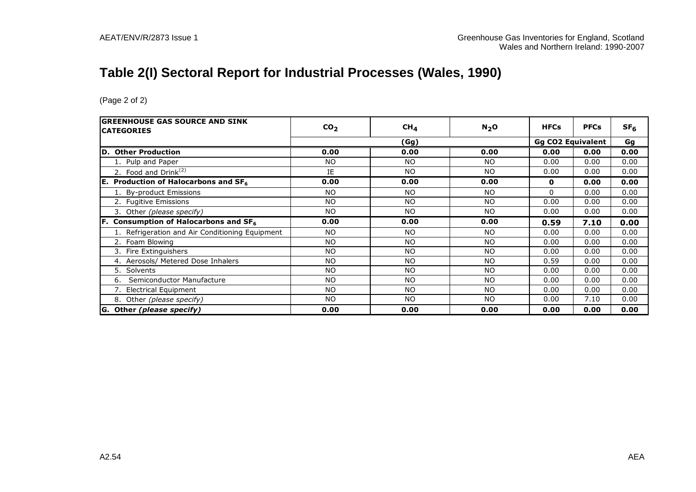# **Table 2(I) Sectoral Report for Industrial Processes (Wales, 1990)**

| <b>IGREENHOUSE GAS SOURCE AND SINK</b>               | CO <sub>2</sub> | CH <sub>4</sub> | $N_2$ O   | <b>HFCs</b> | <b>PFCs</b>              | SF <sub>6</sub> |
|------------------------------------------------------|-----------------|-----------------|-----------|-------------|--------------------------|-----------------|
| <b>CATEGORIES</b>                                    | (Gg)            |                 |           |             | <b>Gg CO2 Equivalent</b> | Gg              |
|                                                      |                 |                 |           |             |                          |                 |
| D. Other Production                                  | 0.00            | 0.00            | 0.00      | 0.00        | 0.00                     | 0.00            |
| 1. Pulp and Paper                                    | <b>NO</b>       | NO.             | <b>NO</b> | 0.00        | 0.00                     | 0.00            |
| 2. Food and Drink $(2)$                              | IE              | <b>NO</b>       | <b>NO</b> | 0.00        | 0.00                     | 0.00            |
| <b>E.</b> Production of Halocarbons and $SF6$        | 0.00            | 0.00            | 0.00      | 0           | 0.00                     | 0.00            |
| 1. By-product Emissions                              | <b>NO</b>       | <b>NO</b>       | <b>NO</b> | 0           | 0.00                     | 0.00            |
| 2. Fugitive Emissions                                | <b>NO</b>       | <b>NO</b>       | <b>NO</b> | 0.00        | 0.00                     | 0.00            |
| 3. Other (please specify)                            | <b>NO</b>       | <b>NO</b>       | <b>NO</b> | 0.00        | 0.00                     | 0.00            |
| $ F.$ Consumption of Halocarbons and SF <sub>6</sub> | 0.00            | 0.00            | 0.00      | 0.59        | 7.10                     | 0.00            |
| 1. Refrigeration and Air Conditioning Equipment      | <b>NO</b>       | <b>NO</b>       | <b>NO</b> | 0.00        | 0.00                     | 0.00            |
| Foam Blowing                                         | <b>NO</b>       | <b>NO</b>       | <b>NO</b> | 0.00        | 0.00                     | 0.00            |
| 3. Fire Extinguishers                                | <b>NO</b>       | <b>NO</b>       | NO.       | 0.00        | 0.00                     | 0.00            |
| 4. Aerosols/ Metered Dose Inhalers                   | <b>NO</b>       | <b>NO</b>       | <b>NO</b> | 0.59        | 0.00                     | 0.00            |
| 5.<br>Solvents                                       | <b>NO</b>       | <b>NO</b>       | NO        | 0.00        | 0.00                     | 0.00            |
| Semiconductor Manufacture<br>6.                      | <b>NO</b>       | <b>NO</b>       | <b>NO</b> | 0.00        | 0.00                     | 0.00            |
| 7. Electrical Equipment                              | <b>NO</b>       | <b>NO</b>       | NO.       | 0.00        | 0.00                     | 0.00            |
| 8. Other (please specify)                            | <b>NO</b>       | <b>NO</b>       | <b>NO</b> | 0.00        | 7.10                     | 0.00            |
| G. Other (please specify)                            | 0.00            | 0.00            | 0.00      | 0.00        | 0.00                     | 0.00            |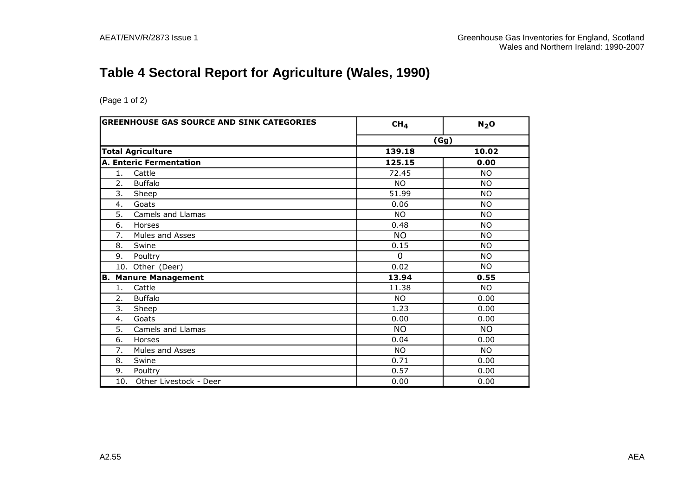# **Table 4 Sectoral Report for Agriculture (Wales, 1990)**

| <b>GREENHOUSE GAS SOURCE AND SINK CATEGORIES</b> | CH <sub>4</sub> | N <sub>2</sub> O |
|--------------------------------------------------|-----------------|------------------|
|                                                  |                 | (Gg)             |
| <b>Total Agriculture</b>                         | 139.18          | 10.02            |
| <b>A. Enteric Fermentation</b>                   | 125.15          | 0.00             |
| 1.<br>Cattle                                     | 72.45           | <b>NO</b>        |
| 2.<br><b>Buffalo</b>                             | <b>NO</b>       | <b>NO</b>        |
| 3.<br>Sheep                                      | 51.99           | <b>NO</b>        |
| 4.<br>Goats                                      | 0.06            | <b>NO</b>        |
| 5.<br>Camels and Llamas                          | <b>NO</b>       | <b>NO</b>        |
| 6.<br>Horses                                     | 0.48            | <b>NO</b>        |
| 7.<br>Mules and Asses                            | <b>NO</b>       | <b>NO</b>        |
| 8.<br>Swine                                      | 0.15            | <b>NO</b>        |
| 9.<br>Poultry                                    | $\Omega$        | <b>NO</b>        |
| 10. Other (Deer)                                 | 0.02            | <b>NO</b>        |
| <b>Manure Management</b><br>В.                   | 13.94           | 0.55             |
| Cattle<br>1.                                     | 11.38           | <b>NO</b>        |
| <b>Buffalo</b><br>2.                             | <b>NO</b>       | 0.00             |
| 3.<br>Sheep                                      | 1.23            | 0.00             |
| Goats<br>4.                                      | 0.00            | 0.00             |
| 5.<br>Camels and Llamas                          | <b>NO</b>       | <b>NO</b>        |
| 6.<br>Horses                                     | 0.04            | 0.00             |
| Mules and Asses<br>7.                            | <b>NO</b>       | <b>NO</b>        |
| 8.<br>Swine                                      | 0.71            | 0.00             |
| 9.<br>Poultry                                    | 0.57            | 0.00             |
| Other Livestock - Deer<br>10.                    | 0.00            | 0.00             |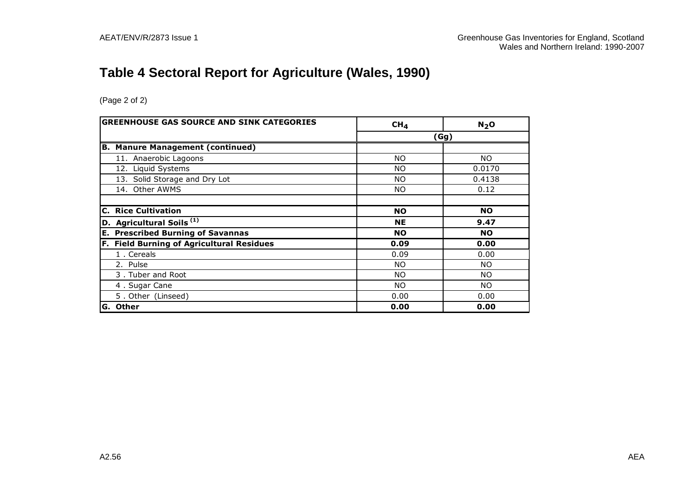# **Table 4 Sectoral Report for Agriculture (Wales, 1990)**

| <b>GREENHOUSE GAS SOURCE AND SINK CATEGORIES</b> | CH <sub>4</sub> | N <sub>2</sub> O |
|--------------------------------------------------|-----------------|------------------|
|                                                  |                 | (Gg)             |
| <b>B. Manure Management (continued)</b>          |                 |                  |
| 11. Anaerobic Lagoons                            | <b>NO</b>       | NO.              |
| 12. Liquid Systems                               | ΝO              | 0.0170           |
| 13. Solid Storage and Dry Lot                    | NO.             | 0.4138           |
| 14. Other AWMS                                   | ΝO              | 0.12             |
|                                                  |                 |                  |
| <b>C. Rice Cultivation</b>                       | <b>NO</b>       | <b>NO</b>        |
| D. Agricultural Soils <sup>(1)</sup>             | <b>NE</b>       | 9.47             |
| <b>E. Prescribed Burning of Savannas</b>         | <b>NO</b>       | <b>NO</b>        |
| F. Field Burning of Agricultural Residues        | 0.09            | 0.00             |
| 1. Cereals                                       | 0.09            | 0.00             |
| 2. Pulse                                         | NO.             | NO.              |
| 3. Tuber and Root                                | NO.             | NO.              |
| 4. Sugar Cane                                    | NO.             | NO.              |
| 5. Other (Linseed)                               | 0.00            | 0.00             |
| <b>G. Other</b>                                  | 0.00            | 0.00             |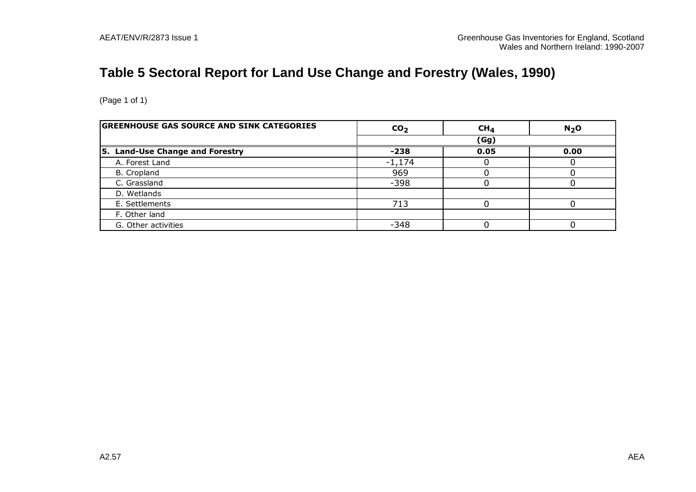# **Table 5 Sectoral Report for Land Use Change and Forestry (Wales, 1990)**

| <b>GREENHOUSE GAS SOURCE AND SINK CATEGORIES</b> | CO <sub>2</sub> | CH <sub>4</sub> | N <sub>2</sub> O |
|--------------------------------------------------|-----------------|-----------------|------------------|
|                                                  |                 | (Gg)            |                  |
| 5. Land-Use Change and Forestry                  | $-238$          | 0.05            | 0.00             |
| A. Forest Land                                   | $-1,174$        |                 |                  |
| B. Cropland                                      | 969             |                 |                  |
| C. Grassland                                     | $-398$          |                 |                  |
| D. Wetlands                                      |                 |                 |                  |
| E. Settlements                                   | 713             |                 |                  |
| F. Other land                                    |                 |                 |                  |
| G. Other activities                              | -348            |                 |                  |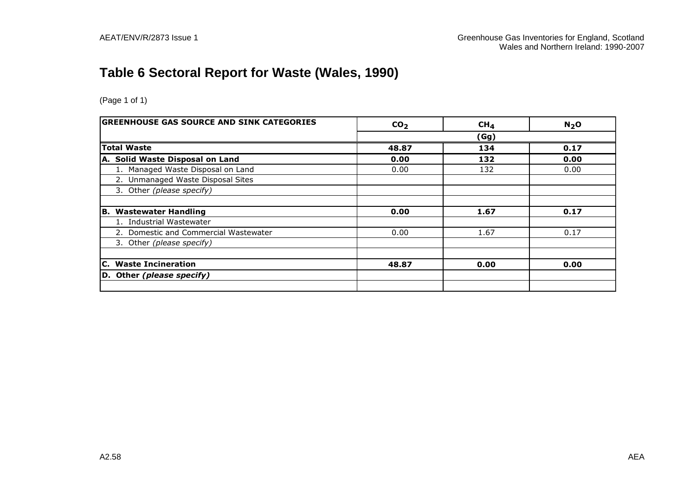# **Table 6 Sectoral Report for Waste (Wales, 1990)**

| <b>GREENHOUSE GAS SOURCE AND SINK CATEGORIES</b> | CO <sub>2</sub> | CH <sub>4</sub> | N <sub>2</sub> O |  |
|--------------------------------------------------|-----------------|-----------------|------------------|--|
|                                                  | (Gg)            |                 |                  |  |
| <b>Total Waste</b>                               | 48.87           | 134             | 0.17             |  |
| A. Solid Waste Disposal on Land                  | 0.00            | 132             | 0.00             |  |
| 1. Managed Waste Disposal on Land                | 0.00            | 132             | 0.00             |  |
| 2. Unmanaged Waste Disposal Sites                |                 |                 |                  |  |
| 3. Other (please specify)                        |                 |                 |                  |  |
|                                                  |                 |                 |                  |  |
| <b>Wastewater Handling</b><br>IB.                | 0.00            | 1.67            | 0.17             |  |
| 1. Industrial Wastewater                         |                 |                 |                  |  |
| 2. Domestic and Commercial Wastewater            | 0.00            | 1.67            | 0.17             |  |
| 3. Other (please specify)                        |                 |                 |                  |  |
|                                                  |                 |                 |                  |  |
| <b>C.</b> Waste Incineration                     | 48.87           | 0.00            | 0.00             |  |
| D. Other (please specify)                        |                 |                 |                  |  |
|                                                  |                 |                 |                  |  |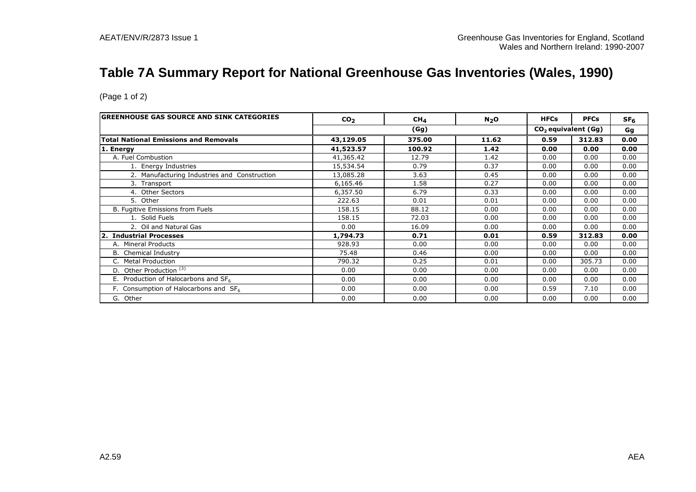## **Table 7A Summary Report for National Greenhouse Gas Inventories (Wales, 1990)**

| <b>GREENHOUSE GAS SOURCE AND SINK CATEGORIES</b> | CO <sub>2</sub> | CH <sub>4</sub> | $N_2$ O | <b>HFCs</b> | <b>PFCs</b>                     | SF <sub>6</sub> |  |
|--------------------------------------------------|-----------------|-----------------|---------|-------------|---------------------------------|-----------------|--|
|                                                  |                 | (Gg)            |         |             | CO <sub>2</sub> equivalent (Gg) |                 |  |
| <b>Total National Emissions and Removals</b>     | 43,129.05       | 375.00          | 11.62   | 0.59        | 312.83                          | 0.00            |  |
| 1. Energy                                        | 41,523.57       | 100.92          | 1.42    | 0.00        | 0.00                            | 0.00            |  |
| A. Fuel Combustion                               | 41,365.42       | 12.79           | 1.42    | 0.00        | 0.00                            | 0.00            |  |
| 1. Energy Industries                             | 15,534.54       | 0.79            | 0.37    | 0.00        | 0.00                            | 0.00            |  |
| 2. Manufacturing Industries and Construction     | 13,085.28       | 3.63            | 0.45    | 0.00        | 0.00                            | 0.00            |  |
| 3. Transport                                     | 6,165.46        | 1.58            | 0.27    | 0.00        | 0.00                            | 0.00            |  |
| 4. Other Sectors                                 | 6,357.50        | 6.79            | 0.33    | 0.00        | 0.00                            | 0.00            |  |
| 5. Other                                         | 222.63          | 0.01            | 0.01    | 0.00        | 0.00                            | 0.00            |  |
| B. Fugitive Emissions from Fuels                 | 158.15          | 88.12           | 0.00    | 0.00        | 0.00                            | 0.00            |  |
| 1. Solid Fuels                                   | 158.15          | 72.03           | 0.00    | 0.00        | 0.00                            | 0.00            |  |
| 2. Oil and Natural Gas                           | 0.00            | 16.09           | 0.00    | 0.00        | 0.00                            | 0.00            |  |
| 2. Industrial Processes                          | 1,794.73        | 0.71            | 0.01    | 0.59        | 312.83                          | 0.00            |  |
| A. Mineral Products                              | 928.93          | 0.00            | 0.00    | 0.00        | 0.00                            | 0.00            |  |
| <b>B.</b> Chemical Industry                      | 75.48           | 0.46            | 0.00    | 0.00        | 0.00                            | 0.00            |  |
| <b>Metal Production</b><br>C.                    | 790.32          | 0.25            | 0.01    | 0.00        | 305.73                          | 0.00            |  |
| Other Production <sup>(3)</sup>                  | 0.00            | 0.00            | 0.00    | 0.00        | 0.00                            | 0.00            |  |
| E. Production of Halocarbons and $SF6$           | 0.00            | 0.00            | 0.00    | 0.00        | 0.00                            | 0.00            |  |
| F. Consumption of Halocarbons and $SF6$          | 0.00            | 0.00            | 0.00    | 0.59        | 7.10                            | 0.00            |  |
| G. Other                                         | 0.00            | 0.00            | 0.00    | 0.00        | 0.00                            | 0.00            |  |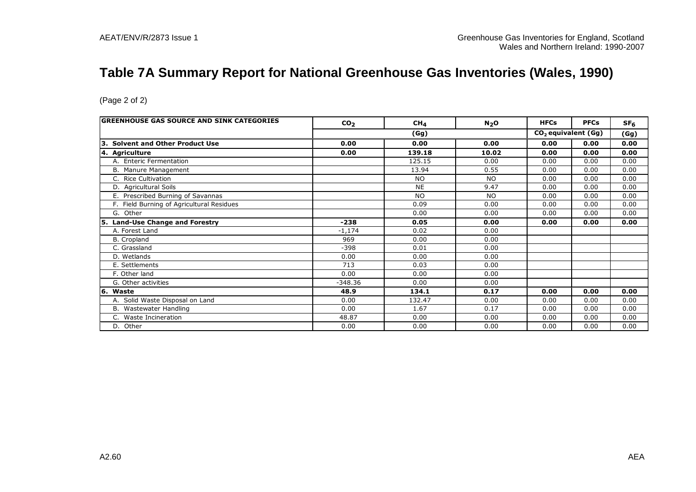## **Table 7A Summary Report for National Greenhouse Gas Inventories (Wales, 1990)**

| <b>GREENHOUSE GAS SOURCE AND SINK CATEGORIES</b> | CO <sub>2</sub> | CH <sub>4</sub> | $N_2$ O   | <b>HFCs</b>                     | <b>PFCs</b> | SF <sub>6</sub> |
|--------------------------------------------------|-----------------|-----------------|-----------|---------------------------------|-------------|-----------------|
|                                                  |                 | (Gg)            |           | CO <sub>2</sub> equivalent (Gg) |             | (Gg)            |
| <b>Solvent and Other Product Use</b><br>13.      | 0.00            | 0.00            | 0.00      | 0.00                            | 0.00        | 0.00            |
| 4. Agriculture                                   | 0.00            | 139.18          | 10.02     | 0.00                            | 0.00        | 0.00            |
| A. Enteric Fermentation                          |                 | 125.15          | 0.00      | 0.00                            | 0.00        | 0.00            |
| B. Manure Management                             |                 | 13.94           | 0.55      | 0.00                            | 0.00        | 0.00            |
| C. Rice Cultivation                              |                 | <b>NO</b>       | <b>NO</b> | 0.00                            | 0.00        | 0.00            |
| D. Agricultural Soils                            |                 | <b>NE</b>       | 9.47      | 0.00                            | 0.00        | 0.00            |
| E. Prescribed Burning of Savannas                |                 | <b>NO</b>       | <b>NO</b> | 0.00                            | 0.00        | 0.00            |
| F. Field Burning of Agricultural Residues        |                 | 0.09            | 0.00      | 0.00                            | 0.00        | 0.00            |
| G. Other                                         |                 | 0.00            | 0.00      | 0.00                            | 0.00        | 0.00            |
| 5. Land-Use Change and Forestry                  | $-238$          | 0.05            | 0.00      | 0.00                            | 0.00        | 0.00            |
| A. Forest Land                                   | $-1,174$        | 0.02            | 0.00      |                                 |             |                 |
| <b>B.</b> Cropland                               | 969             | 0.00            | 0.00      |                                 |             |                 |
| C. Grassland                                     | $-398$          | 0.01            | 0.00      |                                 |             |                 |
| D. Wetlands                                      | 0.00            | 0.00            | 0.00      |                                 |             |                 |
| E. Settlements                                   | 713             | 0.03            | 0.00      |                                 |             |                 |
| F. Other land                                    | 0.00            | 0.00            | 0.00      |                                 |             |                 |
| G. Other activities                              | $-348.36$       | 0.00            | 0.00      |                                 |             |                 |
| 6. Waste                                         | 48.9            | 134.1           | 0.17      | 0.00                            | 0.00        | 0.00            |
| A. Solid Waste Disposal on Land                  | 0.00            | 132.47          | 0.00      | 0.00                            | 0.00        | 0.00            |
| B. Wastewater Handling                           | 0.00            | 1.67            | 0.17      | 0.00                            | 0.00        | 0.00            |
| Waste Incineration<br>C.                         | 48.87           | 0.00            | 0.00      | 0.00                            | 0.00        | 0.00            |
|                                                  |                 |                 |           |                                 |             |                 |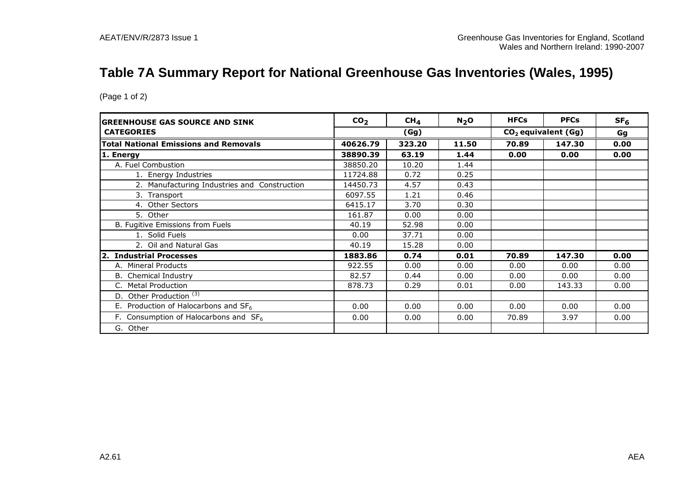## **Table 7A Summary Report for National Greenhouse Gas Inventories (Wales, 1995)**

| <b>GREENHOUSE GAS SOURCE AND SINK</b>        | CO <sub>2</sub> | CH <sub>4</sub> | $N2$ O | <b>HFCs</b>           | <b>PFCs</b> | SF <sub>6</sub> |
|----------------------------------------------|-----------------|-----------------|--------|-----------------------|-------------|-----------------|
| <b>CATEGORIES</b>                            |                 | (Gg)            |        | $CO2$ equivalent (Gg) | Gg          |                 |
| <b>Total National Emissions and Removals</b> | 40626.79        | 323.20          | 11.50  | 70.89                 | 147.30      | 0.00            |
| 1. Energy                                    | 38890.39        | 63.19           | 1.44   | 0.00                  | 0.00        | 0.00            |
| A. Fuel Combustion                           | 38850.20        | 10.20           | 1.44   |                       |             |                 |
| 1. Energy Industries                         | 11724.88        | 0.72            | 0.25   |                       |             |                 |
| 2. Manufacturing Industries and Construction | 14450.73        | 4.57            | 0.43   |                       |             |                 |
| 3. Transport                                 | 6097.55         | 1.21            | 0.46   |                       |             |                 |
| 4. Other Sectors                             | 6415.17         | 3.70            | 0.30   |                       |             |                 |
| 5. Other                                     | 161.87          | 0.00            | 0.00   |                       |             |                 |
| B. Fugitive Emissions from Fuels             | 40.19           | 52.98           | 0.00   |                       |             |                 |
| 1. Solid Fuels                               | 0.00            | 37.71           | 0.00   |                       |             |                 |
| 2. Oil and Natural Gas                       | 40.19           | 15.28           | 0.00   |                       |             |                 |
| 2. Industrial Processes                      | 1883.86         | 0.74            | 0.01   | 70.89                 | 147.30      | 0.00            |
| <b>Mineral Products</b><br>А.                | 922.55          | 0.00            | 0.00   | 0.00                  | 0.00        | 0.00            |
| <b>B.</b> Chemical Industry                  | 82.57           | 0.44            | 0.00   | 0.00                  | 0.00        | 0.00            |
| <b>Metal Production</b>                      | 878.73          | 0.29            | 0.01   | 0.00                  | 143.33      | 0.00            |
| Other Production <sup>(3)</sup><br>D.        |                 |                 |        |                       |             |                 |
| E. Production of Halocarbons and $SF6$       | 0.00            | 0.00            | 0.00   | 0.00                  | 0.00        | 0.00            |
| F. Consumption of Halocarbons and $SF6$      | 0.00            | 0.00            | 0.00   | 70.89                 | 3.97        | 0.00            |
| G. Other                                     |                 |                 |        |                       |             |                 |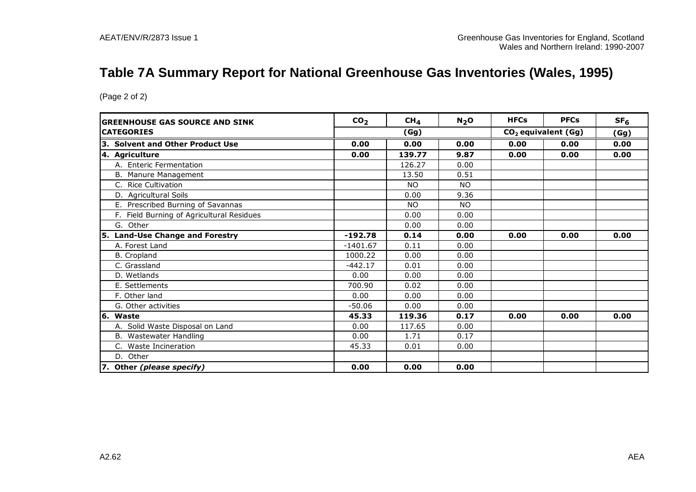## **Table 7A Summary Report for National Greenhouse Gas Inventories (Wales, 1995)**

| <b>GREENHOUSE GAS SOURCE AND SINK</b>     | CO <sub>2</sub> | CH <sub>4</sub> | N <sub>2</sub> O | <b>HFCs</b> | <b>PFCs</b>                     | SF <sub>6</sub> |
|-------------------------------------------|-----------------|-----------------|------------------|-------------|---------------------------------|-----------------|
| <b>CATEGORIES</b>                         |                 | (Gg)            |                  |             | CO <sub>2</sub> equivalent (Gg) | (Gg)            |
| 3. Solvent and Other Product Use          | 0.00            | 0.00            | 0.00             | 0.00        | 0.00                            | 0.00            |
| 4. Agriculture                            | 0.00            | 139.77          | 9.87             | 0.00        | 0.00                            | 0.00            |
| A. Enteric Fermentation                   |                 | 126.27          | 0.00             |             |                                 |                 |
| B. Manure Management                      |                 | 13.50           | 0.51             |             |                                 |                 |
| C. Rice Cultivation                       |                 | <b>NO</b>       | <b>NO</b>        |             |                                 |                 |
| D. Agricultural Soils                     |                 | 0.00            | 9.36             |             |                                 |                 |
| Prescribed Burning of Savannas<br>Е.      |                 | NO.             | N <sub>O</sub>   |             |                                 |                 |
| F. Field Burning of Agricultural Residues |                 | 0.00            | 0.00             |             |                                 |                 |
| G. Other                                  |                 | 0.00            | 0.00             |             |                                 |                 |
| <b>Land-Use Change and Forestry</b><br>5. | $-192.78$       | 0.14            | 0.00             | 0.00        | 0.00                            | 0.00            |
| A. Forest Land                            | $-1401.67$      | 0.11            | 0.00             |             |                                 |                 |
| B. Cropland                               | 1000.22         | 0.00            | 0.00             |             |                                 |                 |
| C. Grassland                              | $-442.17$       | 0.01            | 0.00             |             |                                 |                 |
| D. Wetlands                               | 0.00            | 0.00            | 0.00             |             |                                 |                 |
| E. Settlements                            | 700.90          | 0.02            | 0.00             |             |                                 |                 |
| F. Other land                             | 0.00            | 0.00            | 0.00             |             |                                 |                 |
| G. Other activities                       | $-50.06$        | 0.00            | 0.00             |             |                                 |                 |
| 6. Waste                                  | 45.33           | 119.36          | 0.17             | 0.00        | 0.00                            | 0.00            |
| A. Solid Waste Disposal on Land           | 0.00            | 117.65          | 0.00             |             |                                 |                 |
| Wastewater Handling<br>В.                 | 0.00            | 1.71            | 0.17             |             |                                 |                 |
| C. Waste Incineration                     | 45.33           | 0.01            | 0.00             |             |                                 |                 |
| D. Other                                  |                 |                 |                  |             |                                 |                 |
| 7. Other (please specify)                 | 0.00            | 0.00            | 0.00             |             |                                 |                 |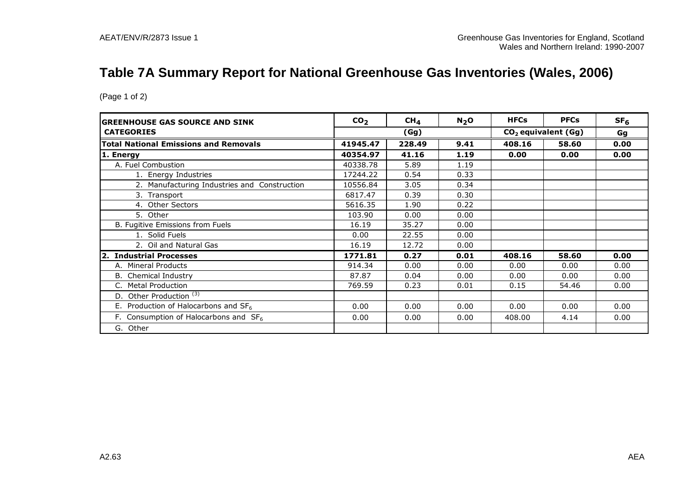## **Table 7A Summary Report for National Greenhouse Gas Inventories (Wales, 2006)**

| <b>GREENHOUSE GAS SOURCE AND SINK</b>        | CO <sub>2</sub> | CH <sub>4</sub> | N <sub>2</sub> O | <b>HFCs</b> | <b>PFCs</b> | SF <sub>6</sub> |  |                                 |  |  |  |
|----------------------------------------------|-----------------|-----------------|------------------|-------------|-------------|-----------------|--|---------------------------------|--|--|--|
| <b>CATEGORIES</b>                            | (Gg)            |                 |                  |             |             |                 |  | CO <sub>2</sub> equivalent (Gg) |  |  |  |
| <b>Total National Emissions and Removals</b> | 41945.47        | 228.49          | 9.41             | 408.16      | 58.60       | 0.00            |  |                                 |  |  |  |
| 1. Energy                                    | 40354.97        | 41.16           | 1.19             | 0.00        | 0.00        | 0.00            |  |                                 |  |  |  |
| A. Fuel Combustion                           | 40338.78        | 5.89            | 1.19             |             |             |                 |  |                                 |  |  |  |
| 1. Energy Industries                         | 17244.22        | 0.54            | 0.33             |             |             |                 |  |                                 |  |  |  |
| 2. Manufacturing Industries and Construction | 10556.84        | 3.05            | 0.34             |             |             |                 |  |                                 |  |  |  |
| 3. Transport                                 | 6817.47         | 0.39            | 0.30             |             |             |                 |  |                                 |  |  |  |
| 4. Other Sectors                             | 5616.35         | 1.90            | 0.22             |             |             |                 |  |                                 |  |  |  |
| 5. Other                                     | 103.90          | 0.00            | 0.00             |             |             |                 |  |                                 |  |  |  |
| B. Fugitive Emissions from Fuels             | 16.19           | 35.27           | 0.00             |             |             |                 |  |                                 |  |  |  |
| 1. Solid Fuels                               | 0.00            | 22.55           | 0.00             |             |             |                 |  |                                 |  |  |  |
| 2. Oil and Natural Gas                       | 16.19           | 12.72           | 0.00             |             |             |                 |  |                                 |  |  |  |
| 2. Industrial Processes                      | 1771.81         | 0.27            | 0.01             | 408.16      | 58.60       | 0.00            |  |                                 |  |  |  |
| A. Mineral Products                          | 914.34          | 0.00            | 0.00             | 0.00        | 0.00        | 0.00            |  |                                 |  |  |  |
| <b>B.</b> Chemical Industry                  | 87.87           | 0.04            | 0.00             | 0.00        | 0.00        | 0.00            |  |                                 |  |  |  |
| <b>Metal Production</b><br>C.                | 769.59          | 0.23            | 0.01             | 0.15        | 54.46       | 0.00            |  |                                 |  |  |  |
| Other Production <sup>(3)</sup><br>D.        |                 |                 |                  |             |             |                 |  |                                 |  |  |  |
| E. Production of Halocarbons and $SF6$       | 0.00            | 0.00            | 0.00             | 0.00        | 0.00        | 0.00            |  |                                 |  |  |  |
| F. Consumption of Halocarbons and $SF6$      | 0.00            | 0.00            | 0.00             | 408.00      | 4.14        | 0.00            |  |                                 |  |  |  |
| G. Other                                     |                 |                 |                  |             |             |                 |  |                                 |  |  |  |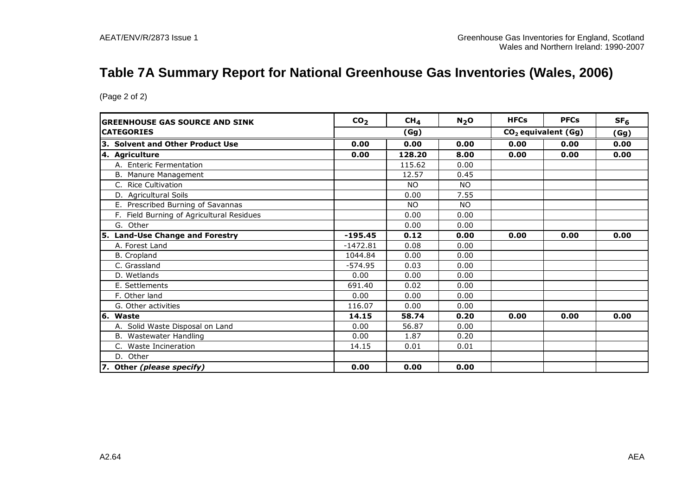## **Table 7A Summary Report for National Greenhouse Gas Inventories (Wales, 2006)**

| <b>GREENHOUSE GAS SOURCE AND SINK</b>     | CO <sub>2</sub> | CH <sub>4</sub> | N <sub>2</sub> O | <b>HFCs</b> | <b>PFCs</b>                     | SF <sub>6</sub> |
|-------------------------------------------|-----------------|-----------------|------------------|-------------|---------------------------------|-----------------|
| <b>CATEGORIES</b>                         |                 | (Gg)            |                  |             | CO <sub>2</sub> equivalent (Gg) | (Gg)            |
| 3. Solvent and Other Product Use          | 0.00            | 0.00            | 0.00             | 0.00        | 0.00                            | 0.00            |
| 4. Agriculture                            | 0.00            | 128.20          | 8.00             | 0.00        | 0.00                            | 0.00            |
| A. Enteric Fermentation                   |                 | 115.62          | 0.00             |             |                                 |                 |
| B. Manure Management                      |                 | 12.57           | 0.45             |             |                                 |                 |
| C. Rice Cultivation                       |                 | <b>NO</b>       | <b>NO</b>        |             |                                 |                 |
| D. Agricultural Soils                     |                 | 0.00            | 7.55             |             |                                 |                 |
| Prescribed Burning of Savannas<br>Е.      |                 | NO.             | N <sub>O</sub>   |             |                                 |                 |
| F. Field Burning of Agricultural Residues |                 | 0.00            | 0.00             |             |                                 |                 |
| G. Other                                  |                 | 0.00            | 0.00             |             |                                 |                 |
| <b>Land-Use Change and Forestry</b><br>5. | $-195.45$       | 0.12            | 0.00             | 0.00        | 0.00                            | 0.00            |
| A. Forest Land                            | $-1472.81$      | 0.08            | 0.00             |             |                                 |                 |
| B. Cropland                               | 1044.84         | 0.00            | 0.00             |             |                                 |                 |
| C. Grassland                              | $-574.95$       | 0.03            | 0.00             |             |                                 |                 |
| D. Wetlands                               | 0.00            | 0.00            | 0.00             |             |                                 |                 |
| E. Settlements                            | 691.40          | 0.02            | 0.00             |             |                                 |                 |
| F. Other land                             | 0.00            | 0.00            | 0.00             |             |                                 |                 |
| G. Other activities                       | 116.07          | 0.00            | 0.00             |             |                                 |                 |
| 6. Waste                                  | 14.15           | 58.74           | 0.20             | 0.00        | 0.00                            | 0.00            |
| A. Solid Waste Disposal on Land           | 0.00            | 56.87           | 0.00             |             |                                 |                 |
| Wastewater Handling<br>В.                 | 0.00            | 1.87            | 0.20             |             |                                 |                 |
| C. Waste Incineration                     | 14.15           | 0.01            | 0.01             |             |                                 |                 |
| D. Other                                  |                 |                 |                  |             |                                 |                 |
| 7. Other (please specify)                 | 0.00            | 0.00            | 0.00             |             |                                 |                 |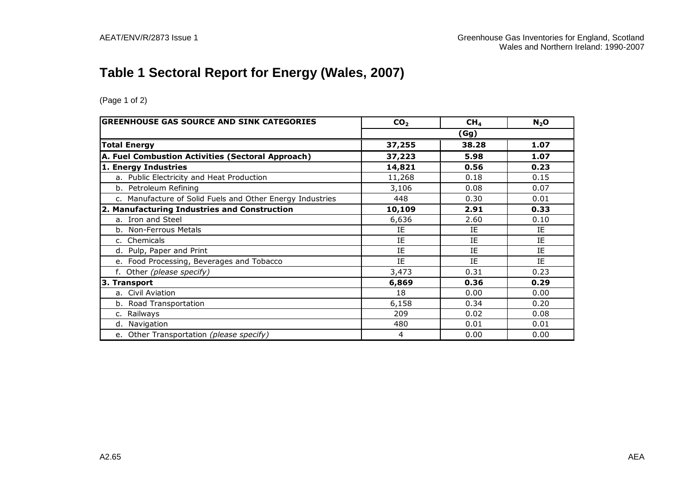# **Table 1 Sectoral Report for Energy (Wales, 2007)**

| <b>GREENHOUSE GAS SOURCE AND SINK CATEGORIES</b>          | CO <sub>2</sub> | CH <sub>4</sub> | $N_2$ O |
|-----------------------------------------------------------|-----------------|-----------------|---------|
|                                                           |                 | (Gg)            |         |
| <b>Total Energy</b>                                       | 37,255          | 38.28           | 1.07    |
| A. Fuel Combustion Activities (Sectoral Approach)         | 37,223          | 5.98            | 1.07    |
| 1. Energy Industries                                      | 14,821          | 0.56            | 0.23    |
| a. Public Electricity and Heat Production                 | 11,268          | 0.18            | 0.15    |
| b. Petroleum Refining                                     | 3,106           | 0.08            | 0.07    |
| c. Manufacture of Solid Fuels and Other Energy Industries | 448             | 0.30            | 0.01    |
| 2. Manufacturing Industries and Construction              | 10,109          | 2.91            | 0.33    |
| a. Iron and Steel                                         | 6,636           | 2.60            | 0.10    |
| b. Non-Ferrous Metals                                     | IE              | IE              | IE      |
| c. Chemicals                                              | ΙE              | ΙE              | IE      |
| d. Pulp, Paper and Print                                  | IE              | IE              | ΙE      |
| e. Food Processing, Beverages and Tobacco                 | IE              | IE              | IE      |
| f. Other (please specify)                                 | 3,473           | 0.31            | 0.23    |
| 3. Transport                                              | 6,869           | 0.36            | 0.29    |
| a. Civil Aviation                                         | 18              | 0.00            | 0.00    |
| b. Road Transportation                                    | 6,158           | 0.34            | 0.20    |
| c. Railways                                               | 209             | 0.02            | 0.08    |
| d. Navigation                                             | 480             | 0.01            | 0.01    |
| e. Other Transportation (please specify)                  | 4               | 0.00            | 0.00    |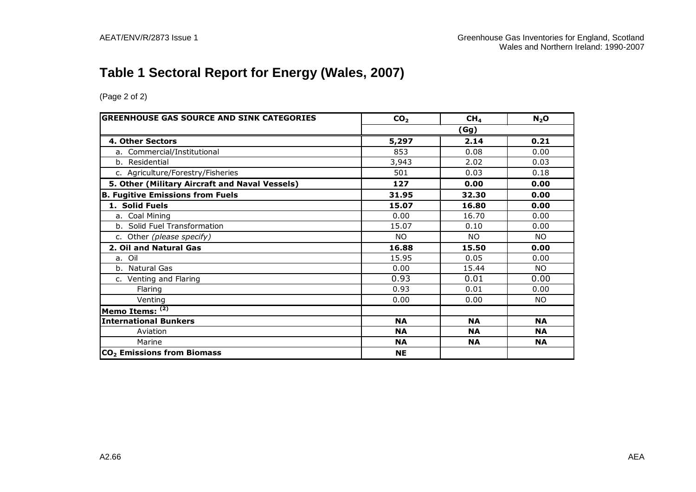# **Table 1 Sectoral Report for Energy (Wales, 2007)**

| <b>GREENHOUSE GAS SOURCE AND SINK CATEGORIES</b> | CO <sub>2</sub> | CH <sub>4</sub> | $N_2$ O   |
|--------------------------------------------------|-----------------|-----------------|-----------|
|                                                  |                 | (Gg)            |           |
| 4. Other Sectors                                 | 5,297           | 2.14            | 0.21      |
| a. Commercial/Institutional                      | 853             | 0.08            | 0.00      |
| b. Residential                                   | 3,943           | 2.02            | 0.03      |
| c. Agriculture/Forestry/Fisheries                | 501             | 0.03            | 0.18      |
| 5. Other (Military Aircraft and Naval Vessels)   | 127             | 0.00            | 0.00      |
| <b>B. Fugitive Emissions from Fuels</b>          | 31.95           | 32.30           | 0.00      |
| 1. Solid Fuels                                   | 15.07           | 16.80           | 0.00      |
| a. Coal Mining                                   | 0.00            | 16.70           | 0.00      |
| b. Solid Fuel Transformation                     | 15.07           | 0.10            | 0.00      |
| c. Other (please specify)                        | NO.             | NO.             | <b>NO</b> |
| 2. Oil and Natural Gas                           | 16.88           | 15.50           | 0.00      |
| a. Oil                                           | 15.95           | 0.05            | 0.00      |
| b. Natural Gas                                   | 0.00            | 15.44           | NO.       |
| c. Venting and Flaring                           | 0.93            | 0.01            | 0.00      |
| Flaring                                          | 0.93            | 0.01            | 0.00      |
| Venting                                          | 0.00            | 0.00            | NO.       |
| Memo Items: $(2)$                                |                 |                 |           |
| <b>International Bunkers</b>                     | <b>NA</b>       | <b>NA</b>       | <b>NA</b> |
| Aviation                                         | <b>NA</b>       | <b>NA</b>       | <b>NA</b> |
| Marine                                           | <b>NA</b>       | <b>NA</b>       | <b>NA</b> |
| CO <sub>2</sub> Emissions from Biomass           | <b>NE</b>       |                 |           |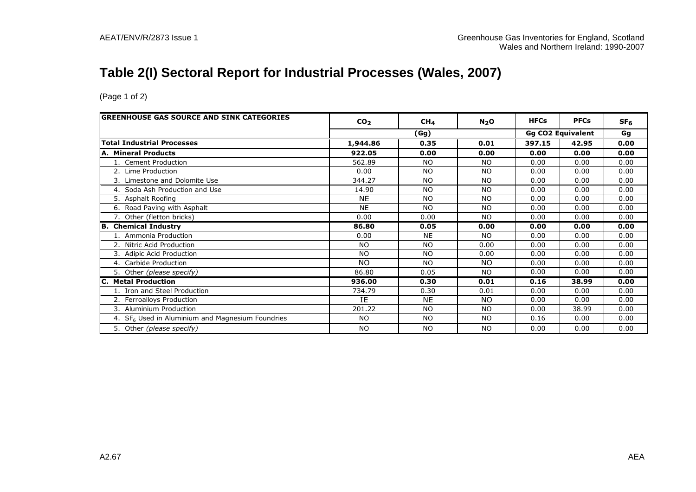## **Table 2(I) Sectoral Report for Industrial Processes (Wales, 2007)**

| <b>GREENHOUSE GAS SOURCE AND SINK CATEGORIES</b>   | CO <sub>2</sub> | CH <sub>4</sub> | N <sub>2</sub> O | <b>HFCs</b> | <b>PFCs</b>              | SF <sub>6</sub> |
|----------------------------------------------------|-----------------|-----------------|------------------|-------------|--------------------------|-----------------|
|                                                    |                 | (Gg)            |                  |             | <b>Gg CO2 Equivalent</b> | Gg              |
| <b>Total Industrial Processes</b>                  | 1,944.86        | 0.35            | 0.01             | 397.15      | 42.95                    | 0.00            |
| A. Mineral Products                                | 922.05          | 0.00            | 0.00             | 0.00        | 0.00                     | 0.00            |
| 1. Cement Production                               | 562.89          | NO.             | NO.              | 0.00        | 0.00                     | 0.00            |
| 2. Lime Production                                 | 0.00            | <b>NO</b>       | <b>NO</b>        | 0.00        | 0.00                     | 0.00            |
| 3. Limestone and Dolomite Use                      | 344.27          | <b>NO</b>       | <b>NO</b>        | 0.00        | 0.00                     | 0.00            |
| 4. Soda Ash Production and Use                     | 14.90           | <b>NO</b>       | <b>NO</b>        | 0.00        | 0.00                     | 0.00            |
| 5. Asphalt Roofing                                 | <b>NE</b>       | <b>NO</b>       | <b>NO</b>        | 0.00        | 0.00                     | 0.00            |
| 6. Road Paving with Asphalt                        | <b>NE</b>       | N <sub>O</sub>  | <b>NO</b>        | 0.00        | 0.00                     | 0.00            |
| 7. Other (fletton bricks)                          | 0.00            | 0.00            | <b>NO</b>        | 0.00        | 0.00                     | 0.00            |
| <b>B. Chemical Industry</b>                        | 86.80           | 0.05            | 0.00             | 0.00        | 0.00                     | 0.00            |
| 1. Ammonia Production                              | 0.00            | <b>NE</b>       | <b>NO</b>        | 0.00        | 0.00                     | 0.00            |
| 2. Nitric Acid Production                          | <b>NO</b>       | <b>NO</b>       | 0.00             | 0.00        | 0.00                     | 0.00            |
| 3. Adipic Acid Production                          | <b>NO</b>       | N <sub>O</sub>  | 0.00             | 0.00        | 0.00                     | 0.00            |
| 4. Carbide Production                              | <b>NO</b>       | <b>NO</b>       | <b>NO</b>        | 0.00        | 0.00                     | 0.00            |
| 5. Other (please specify)                          | 86.80           | 0.05            | <b>NO</b>        | 0.00        | 0.00                     | 0.00            |
| C. Metal Production                                | 936.00          | 0.30            | 0.01             | 0.16        | 38.99                    | 0.00            |
| 1. Iron and Steel Production                       | 734.79          | 0.30            | 0.01             | 0.00        | 0.00                     | 0.00            |
| 2. Ferroalloys Production                          | IE              | <b>NE</b>       | NO.              | 0.00        | 0.00                     | 0.00            |
| 3. Aluminium Production                            | 201.22          | N <sub>O</sub>  | <b>NO</b>        | 0.00        | 38.99                    | 0.00            |
| 4. $SF6$ Used in Aluminium and Magnesium Foundries | NO.             | <b>NO</b>       | <b>NO</b>        | 0.16        | 0.00                     | 0.00            |
| 5. Other (please specify)                          | <b>NO</b>       | <b>NO</b>       | <b>NO</b>        | 0.00        | 0.00                     | 0.00            |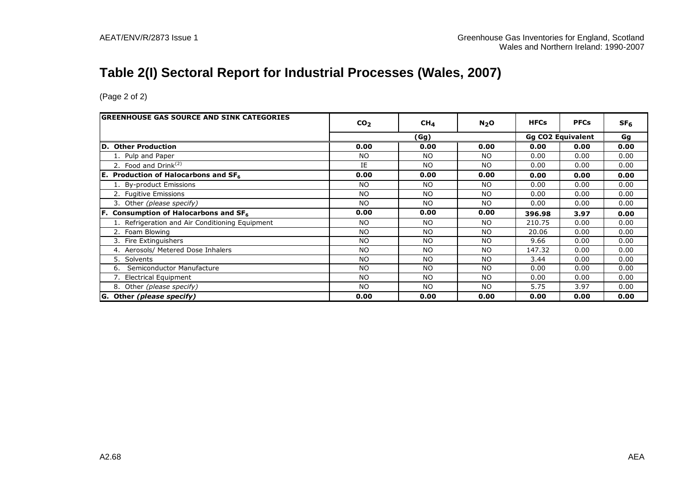## **Table 2(I) Sectoral Report for Industrial Processes (Wales, 2007)**

| <b>GREENHOUSE GAS SOURCE AND SINK CATEGORIES</b> | CO <sub>2</sub> | CH <sub>4</sub> | N <sub>2</sub> O | <b>HFCs</b> | <b>PFCs</b>              | SF <sub>6</sub> |
|--------------------------------------------------|-----------------|-----------------|------------------|-------------|--------------------------|-----------------|
|                                                  |                 | (Gg)            |                  |             | <b>Gg CO2 Equivalent</b> | Gg              |
| <b>Other Production</b><br>ID.                   | 0.00            | 0.00            | 0.00             | 0.00        | 0.00                     | 0.00            |
|                                                  |                 |                 |                  |             |                          |                 |
| 1. Pulp and Paper                                | <b>NO</b>       | <b>NO</b>       | NO.              | 0.00        | 0.00                     | 0.00            |
| 2. Food and Drink $(2)$                          | IE              | <b>NO</b>       | <b>NO</b>        | 0.00        | 0.00                     | 0.00            |
| <b>E.</b> Production of Halocarbons and $SF6$    | 0.00            | 0.00            | 0.00             | 0.00        | 0.00                     | 0.00            |
| 1. By-product Emissions                          | NO.             | <b>NO</b>       | NO.              | 0.00        | 0.00                     | 0.00            |
| 2. Fugitive Emissions                            | <b>NO</b>       | <b>NO</b>       | <b>NO</b>        | 0.00        | 0.00                     | 0.00            |
| 3. Other (please specify)                        | NO.             | <b>NO</b>       | NO.              | 0.00        | 0.00                     | 0.00            |
| <b>F.</b> Consumption of Halocarbons and $SF6$   | 0.00            | 0.00            | 0.00             | 396.98      | 3.97                     | 0.00            |
| 1. Refrigeration and Air Conditioning Equipment  | NO.             | <b>NO</b>       | NO.              | 210.75      | 0.00                     | 0.00            |
| 2. Foam Blowing                                  | <b>NO</b>       | <b>NO</b>       | NO.              | 20.06       | 0.00                     | 0.00            |
| 3. Fire Extinguishers                            | <b>NO</b>       | <b>NO</b>       | <b>NO</b>        | 9.66        | 0.00                     | 0.00            |
| Aerosols/ Metered Dose Inhalers<br>4.            | <b>NO</b>       | N <sub>O</sub>  | <b>NO</b>        | 147.32      | 0.00                     | 0.00            |
| Solvents<br>5.                                   | <b>NO</b>       | <b>NO</b>       | <b>NO</b>        | 3.44        | 0.00                     | 0.00            |
| Semiconductor Manufacture<br>6.                  | <b>NO</b>       | <b>NO</b>       | <b>NO</b>        | 0.00        | 0.00                     | 0.00            |
| 7. Electrical Equipment                          | N <sub>O</sub>  | <b>NO</b>       | <b>NO</b>        | 0.00        | 0.00                     | 0.00            |
| 8. Other (please specify)                        | NO.             | <b>NO</b>       | NO.              | 5.75        | 3.97                     | 0.00            |
| G. Other (please specify)                        | 0.00            | 0.00            | 0.00             | 0.00        | 0.00                     | 0.00            |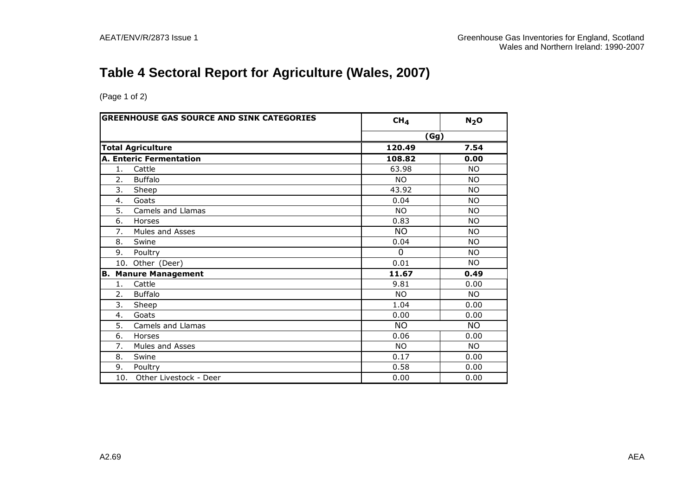# **Table 4 Sectoral Report for Agriculture (Wales, 2007)**

| <b>GREENHOUSE GAS SOURCE AND SINK CATEGORIES</b> |                                | CH <sub>4</sub> | N <sub>2</sub> O |
|--------------------------------------------------|--------------------------------|-----------------|------------------|
|                                                  |                                | (Gg)            |                  |
|                                                  | <b>Total Agriculture</b>       | 120.49          | 7.54             |
|                                                  | <b>A. Enteric Fermentation</b> | 108.82          | 0.00             |
| 1.                                               | Cattle                         | 63.98           | <b>NO</b>        |
| 2.                                               | <b>Buffalo</b>                 | <b>NO</b>       | <b>NO</b>        |
| 3.                                               | Sheep                          | 43.92           | <b>NO</b>        |
| 4.                                               | Goats                          | 0.04            | <b>NO</b>        |
| 5.                                               | Camels and Llamas              | <b>NO</b>       | <b>NO</b>        |
| 6.                                               | Horses                         | 0.83            | <b>NO</b>        |
| 7.                                               | Mules and Asses                | <b>NO</b>       | <b>NO</b>        |
| 8.                                               | Swine                          | 0.04            | <b>NO</b>        |
| 9.                                               | Poultry                        | $\mathbf{0}$    | NO.              |
|                                                  | 10. Other (Deer)               | 0.01            | <b>NO</b>        |
| В.                                               | <b>Manure Management</b>       | 11.67           | 0.49             |
| 1.                                               | Cattle                         | 9.81            | 0.00             |
| 2.                                               | <b>Buffalo</b>                 | NO.             | <b>NO</b>        |
| 3.                                               | Sheep                          | 1.04            | 0.00             |
| 4.                                               | Goats                          | 0.00            | 0.00             |
| 5.                                               | Camels and Llamas              | <b>NO</b>       | NO.              |
| 6.                                               | Horses                         | 0.06            | 0.00             |
| 7.                                               | Mules and Asses                | <b>NO</b>       | <b>NO</b>        |
| 8.                                               | Swine                          | 0.17            | 0.00             |
| 9.                                               | Poultry                        | 0.58            | 0.00             |
| 10.                                              | Other Livestock - Deer         | 0.00            | 0.00             |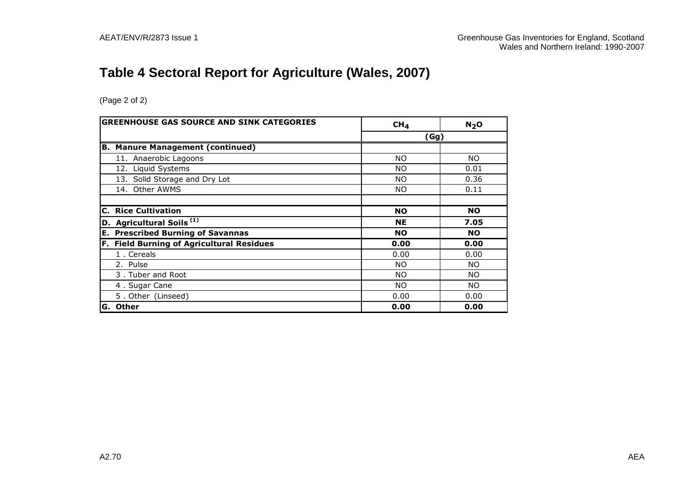# **Table 4 Sectoral Report for Agriculture (Wales, 2007)**

| <b>GREENHOUSE GAS SOURCE AND SINK CATEGORIES</b> | CH <sub>4</sub> | $N2$ O    |
|--------------------------------------------------|-----------------|-----------|
|                                                  | (Gg)            |           |
| <b>Manure Management (continued)</b><br>B.       |                 |           |
| 11. Anaerobic Lagoons                            | NO.             | NO.       |
| 12. Liquid Systems                               | NO.             | 0.01      |
| 13. Solid Storage and Dry Lot                    | NO.             | 0.36      |
| 14. Other AWMS                                   | NO.             | 0.11      |
|                                                  |                 |           |
| <b>C. Rice Cultivation</b>                       | <b>NO</b>       | <b>NO</b> |
| D. Agricultural Soils <sup>(1)</sup>             | <b>NE</b>       | 7.05      |
| <b>E. Prescribed Burning of Savannas</b>         | <b>NO</b>       | NO.       |
| F. Field Burning of Agricultural Residues        | 0.00            | 0.00      |
| 1. Cereals                                       | 0.00            | 0.00      |
| 2. Pulse                                         | NO.             | NO.       |
| 3. Tuber and Root                                | NO.             | NO.       |
| 4. Sugar Cane                                    | NO.             | NO.       |
| 5. Other (Linseed)                               | 0.00            | 0.00      |
| <b>Other</b><br>IG.                              | 0.00            | 0.00      |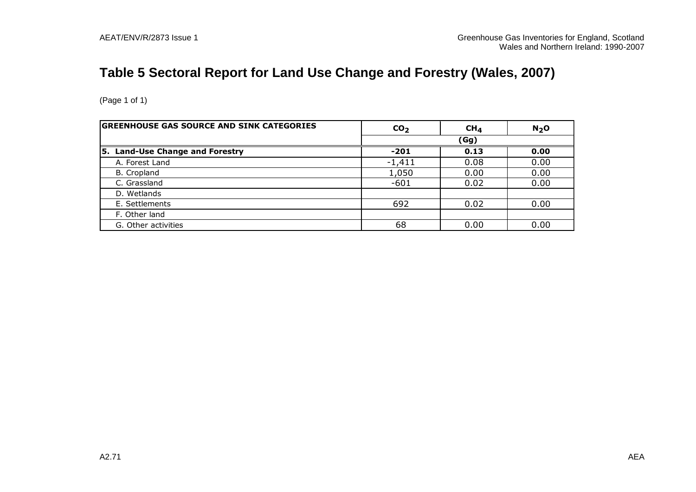# **Table 5 Sectoral Report for Land Use Change and Forestry (Wales, 2007)**

| <b>GREENHOUSE GAS SOURCE AND SINK CATEGORIES</b> | CO <sub>2</sub> | CH <sub>4</sub> | N <sub>2</sub> O |  |
|--------------------------------------------------|-----------------|-----------------|------------------|--|
|                                                  |                 | (Gg)            |                  |  |
| Land-Use Change and Forestry<br>5.               | $-201$          | 0.13            | 0.00             |  |
| A. Forest Land                                   | $-1,411$        | 0.08            | 0.00             |  |
| B. Cropland                                      | 1,050           | 0.00            | 0.00             |  |
| C. Grassland                                     | $-601$          | 0.02            | 0.00             |  |
| D. Wetlands                                      |                 |                 |                  |  |
| E. Settlements                                   | 692             | 0.02            | 0.00             |  |
| F. Other land                                    |                 |                 |                  |  |
| G. Other activities                              | 68              | 0.00            | 0.00             |  |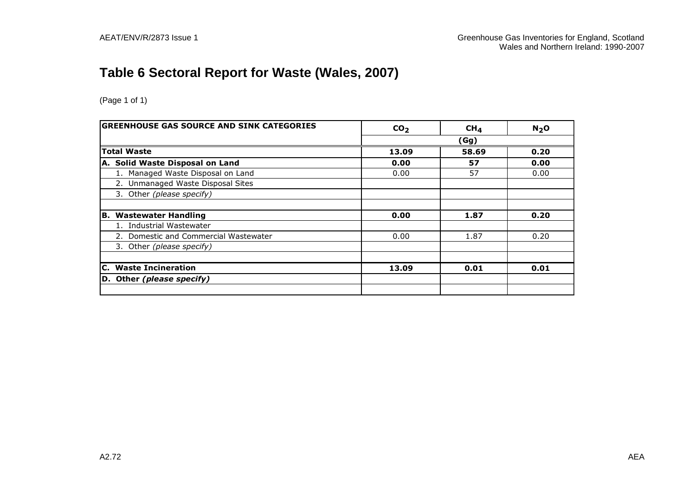# **Table 6 Sectoral Report for Waste (Wales, 2007)**

| <b>GREENHOUSE GAS SOURCE AND SINK CATEGORIES</b> | CO <sub>2</sub> | CH <sub>4</sub> | $N2$ O |
|--------------------------------------------------|-----------------|-----------------|--------|
|                                                  |                 | (Gg)            |        |
| <b>Total Waste</b>                               | 13.09           | 58.69           | 0.20   |
| A. Solid Waste Disposal on Land                  | 0.00            | 57              | 0.00   |
| 1. Managed Waste Disposal on Land                | 0.00            | 57              | 0.00   |
| 2. Unmanaged Waste Disposal Sites                |                 |                 |        |
| 3. Other (please specify)                        |                 |                 |        |
|                                                  |                 |                 |        |
| <b>B. Wastewater Handling</b>                    | 0.00            | 1.87            | 0.20   |
| Industrial Wastewater                            |                 |                 |        |
| 2. Domestic and Commercial Wastewater            | 0.00            | 1.87            | 0.20   |
| 3. Other (please specify)                        |                 |                 |        |
|                                                  |                 |                 |        |
| <b>C.</b> Waste Incineration                     | 13.09           | 0.01            | 0.01   |
| D. Other (please specify)                        |                 |                 |        |
|                                                  |                 |                 |        |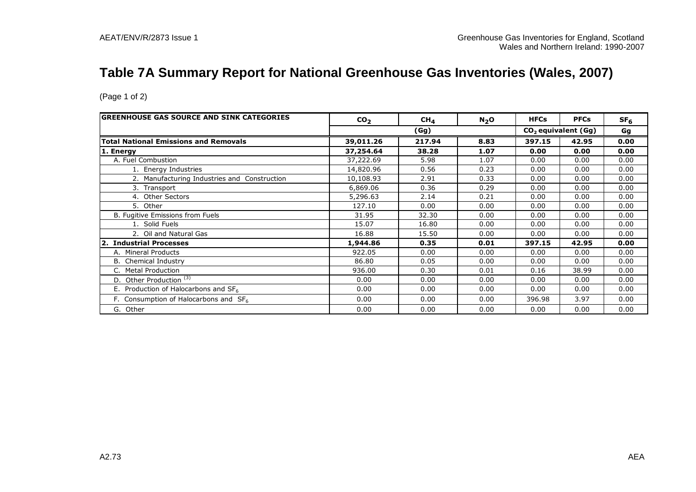## **Table 7A Summary Report for National Greenhouse Gas Inventories (Wales, 2007)**

| <b>GREENHOUSE GAS SOURCE AND SINK CATEGORIES</b> | CO <sub>2</sub> | CH <sub>4</sub> | N <sub>2</sub> O | <b>HFCs</b> | <b>PFCs</b>           | SF <sub>6</sub> |
|--------------------------------------------------|-----------------|-----------------|------------------|-------------|-----------------------|-----------------|
|                                                  |                 | (Gg)            |                  |             | $CO2$ equivalent (Gg) | Gg              |
| <b>Total National Emissions and Removals</b>     | 39,011.26       | 217.94          | 8.83             | 397.15      | 42.95                 | 0.00            |
| 1. Energy                                        | 37,254.64       | 38.28           | 1.07             | 0.00        | 0.00                  | 0.00            |
| A. Fuel Combustion                               | 37,222.69       | 5.98            | 1.07             | 0.00        | 0.00                  | 0.00            |
| 1. Energy Industries                             | 14,820.96       | 0.56            | 0.23             | 0.00        | 0.00                  | 0.00            |
| 2. Manufacturing Industries and Construction     | 10,108.93       | 2.91            | 0.33             | 0.00        | 0.00                  | 0.00            |
| 3. Transport                                     | 6,869.06        | 0.36            | 0.29             | 0.00        | 0.00                  | 0.00            |
| 4. Other Sectors                                 | 5,296.63        | 2.14            | 0.21             | 0.00        | 0.00                  | 0.00            |
| 5. Other                                         | 127.10          | 0.00            | 0.00             | 0.00        | 0.00                  | 0.00            |
| B. Fugitive Emissions from Fuels                 | 31.95           | 32.30           | 0.00             | 0.00        | 0.00                  | 0.00            |
| 1. Solid Fuels                                   | 15.07           | 16.80           | 0.00             | 0.00        | 0.00                  | 0.00            |
| 2. Oil and Natural Gas                           | 16.88           | 15.50           | 0.00             | 0.00        | 0.00                  | 0.00            |
| <b>Industrial Processes</b>                      | 1,944.86        | 0.35            | 0.01             | 397.15      | 42.95                 | 0.00            |
| A. Mineral Products                              | 922.05          | 0.00            | 0.00             | 0.00        | 0.00                  | 0.00            |
| <b>B.</b> Chemical Industry                      | 86.80           | 0.05            | 0.00             | 0.00        | 0.00                  | 0.00            |
| <b>Metal Production</b>                          | 936.00          | 0.30            | 0.01             | 0.16        | 38.99                 | 0.00            |
| D. Other Production <sup>(3)</sup>               | 0.00            | 0.00            | 0.00             | 0.00        | 0.00                  | 0.00            |
| E. Production of Halocarbons and $SF6$           | 0.00            | 0.00            | 0.00             | 0.00        | 0.00                  | 0.00            |
| F. Consumption of Halocarbons and $SF6$          | 0.00            | 0.00            | 0.00             | 396.98      | 3.97                  | 0.00            |
| G. Other                                         | 0.00            | 0.00            | 0.00             | 0.00        | 0.00                  | 0.00            |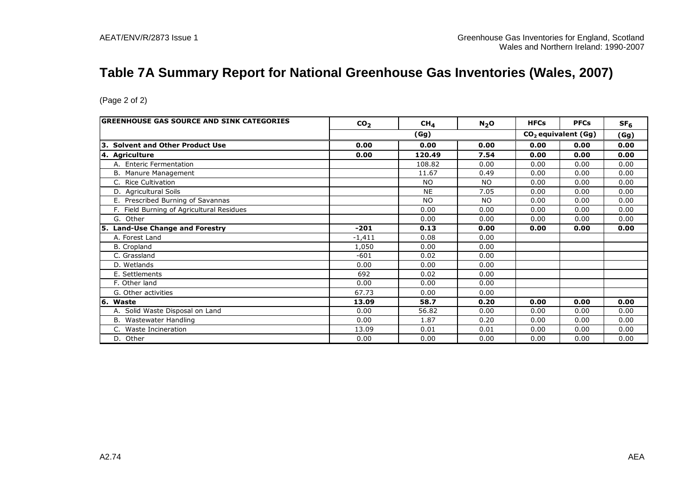## **Table 7A Summary Report for National Greenhouse Gas Inventories (Wales, 2007)**

| GREENHOUSE GAS SOURCE AND SINK CATEGORIES | CO <sub>2</sub> | CH <sub>4</sub> | N <sub>2</sub> O | <b>HFCs</b> | <b>PFCs</b>                     | SF <sub>6</sub> |
|-------------------------------------------|-----------------|-----------------|------------------|-------------|---------------------------------|-----------------|
|                                           |                 | (Gg)            |                  |             | CO <sub>2</sub> equivalent (Gg) | (Gg)            |
| 3. Solvent and Other Product Use          | 0.00            | 0.00            | 0.00             | 0.00        | 0.00                            | 0.00            |
| 4. Agriculture                            | 0.00            | 120.49          | 7.54             | 0.00        | 0.00                            | 0.00            |
| A. Enteric Fermentation                   |                 | 108.82          | 0.00             | 0.00        | 0.00                            | 0.00            |
| B. Manure Management                      |                 | 11.67           | 0.49             | 0.00        | 0.00                            | 0.00            |
| C. Rice Cultivation                       |                 | <b>NO</b>       | <b>NO</b>        | 0.00        | 0.00                            | 0.00            |
| D. Agricultural Soils                     |                 | <b>NE</b>       | 7.05             | 0.00        | 0.00                            | 0.00            |
| E. Prescribed Burning of Savannas         |                 | <b>NO</b>       | <b>NO</b>        | 0.00        | 0.00                            | 0.00            |
| F. Field Burning of Agricultural Residues |                 | 0.00            | 0.00             | 0.00        | 0.00                            | 0.00            |
| G. Other                                  |                 | 0.00            | 0.00             | 0.00        | 0.00                            | 0.00            |
| 5. Land-Use Change and Forestry           | $-201$          | 0.13            | 0.00             | 0.00        | 0.00                            | 0.00            |
| A. Forest Land                            | $-1.411$        | 0.08            | 0.00             |             |                                 |                 |
| B. Cropland                               | 1,050           | 0.00            | 0.00             |             |                                 |                 |
| C. Grassland                              | $-601$          | 0.02            | 0.00             |             |                                 |                 |
| D. Wetlands                               | 0.00            | 0.00            | 0.00             |             |                                 |                 |
| E. Settlements                            | 692             | 0.02            | 0.00             |             |                                 |                 |
| F. Other land                             | 0.00            | 0.00            | 0.00             |             |                                 |                 |
| G. Other activities                       | 67.73           | 0.00            | 0.00             |             |                                 |                 |
| 6. Waste                                  | 13.09           | 58.7            | 0.20             | 0.00        | 0.00                            | 0.00            |
| A. Solid Waste Disposal on Land           | 0.00            | 56.82           | 0.00             | 0.00        | 0.00                            | 0.00            |
| B. Wastewater Handling                    | 0.00            | 1.87            | 0.20             | 0.00        | 0.00                            | 0.00            |
|                                           | 13.09           | 0.01            | 0.01             | 0.00        | 0.00                            | 0.00            |
| $C_{1}$<br>Waste Incineration             |                 |                 |                  |             |                                 |                 |